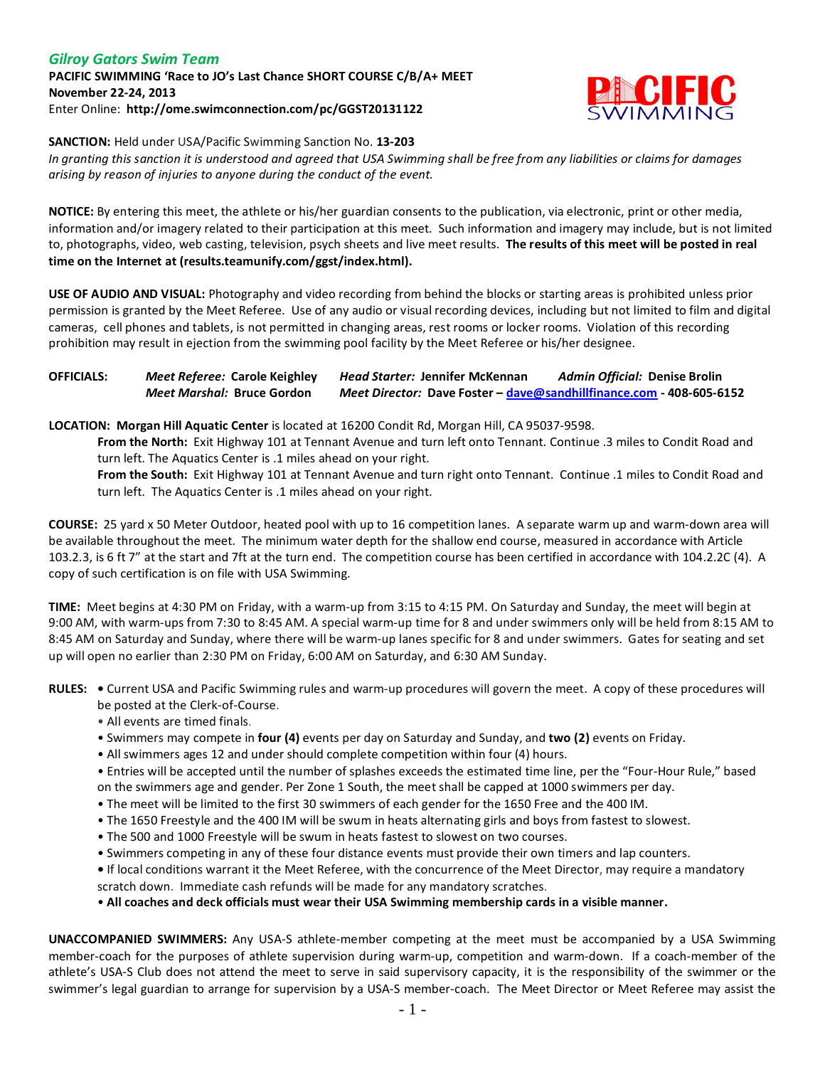### *Gilroy Gators Swim Team* **PACIFIC SWIMMING 'Race to JO's Last Chance SHORT COURSE C/B/A+ MEET November 22-24, 2013** Enter Online: **http://ome.swimconnection.com/pc/GGST20131122**



**SANCTION:** Held under USA/Pacific Swimming Sanction No. **13-203**

*In granting this sanction it is understood and agreed that USA Swimming shall be free from any liabilities or claims for damages arising by reason of injuries to anyone during the conduct of the event.*

**NOTICE:** By entering this meet, the athlete or his/her guardian consents to the publication, via electronic, print or other media, information and/or imagery related to their participation at this meet. Such information and imagery may include, but is not limited to, photographs, video, web casting, television, psych sheets and live meet results. **The results of this meet will be posted in real time on the Internet at (results.teamunify.com/ggst/index.html).**

**USE OF AUDIO AND VISUAL:** Photography and video recording from behind the blocks or starting areas is prohibited unless prior permission is granted by the Meet Referee. Use of any audio or visual recording devices, including but not limited to film and digital cameras, cell phones and tablets, is not permitted in changing areas, rest rooms or locker rooms. Violation of this recording prohibition may result in ejection from the swimming pool facility by the Meet Referee or his/her designee.

### **OFFICIALS:** *Meet Referee:* **Carole Keighley** *Head Starter:* **Jennifer McKennan** *Admin Official:* **Denise Brolin** *Meet Marshal:* **Bruce Gordon** *Meet Director:* **Dave Foster – [dave@sandhillfinance.com](mailto:dave@sandhillfinance.com) - 408-605-6152**

**LOCATION: Morgan Hill Aquatic Center** is located at 16200 Condit Rd, Morgan Hill, CA 95037-9598.

**From the North:** Exit Highway 101 at Tennant Avenue and turn left onto Tennant. Continue .3 miles to Condit Road and turn left. The Aquatics Center is .1 miles ahead on your right.

**From the South:** Exit Highway 101 at Tennant Avenue and turn right onto Tennant. Continue .1 miles to Condit Road and turn left. The Aquatics Center is .1 miles ahead on your right.

**COURSE:** 25 yard x 50 Meter Outdoor, heated pool with up to 16 competition lanes. A separate warm up and warm-down area will be available throughout the meet. The minimum water depth for the shallow end course, measured in accordance with Article 103.2.3, is 6 ft 7" at the start and 7ft at the turn end. The competition course has been certified in accordance with 104.2.2C (4). A copy of such certification is on file with USA Swimming.

**TIME:** Meet begins at 4:30 PM on Friday, with a warm-up from 3:15 to 4:15 PM. On Saturday and Sunday, the meet will begin at 9:00 AM, with warm-ups from 7:30 to 8:45 AM. A special warm-up time for 8 and under swimmers only will be held from 8:15 AM to 8:45 AM on Saturday and Sunday, where there will be warm-up lanes specific for 8 and under swimmers. Gates for seating and set up will open no earlier than 2:30 PM on Friday, 6:00 AM on Saturday, and 6:30 AM Sunday.

**RULES: •** Current USA and Pacific Swimming rules and warm-up procedures will govern the meet. A copy of these procedures will be posted at the Clerk-of-Course.

- All events are timed finals.
- Swimmers may compete in **four (4)** events per day on Saturday and Sunday, and **two (2)** events on Friday.
- All swimmers ages 12 and under should complete competition within four (4) hours.

• Entries will be accepted until the number of splashes exceeds the estimated time line, per the "Four-Hour Rule," based on the swimmers age and gender. Per Zone 1 South, the meet shall be capped at 1000 swimmers per day.

- The meet will be limited to the first 30 swimmers of each gender for the 1650 Free and the 400 IM.
- The 1650 Freestyle and the 400 IM will be swum in heats alternating girls and boys from fastest to slowest.
- The 500 and 1000 Freestyle will be swum in heats fastest to slowest on two courses.
- Swimmers competing in any of these four distance events must provide their own timers and lap counters.
- If local conditions warrant it the Meet Referee, with the concurrence of the Meet Director, may require a mandatory scratch down. Immediate cash refunds will be made for any mandatory scratches.

• **All coaches and deck officials must wear their USA Swimming membership cards in a visible manner.** 

**UNACCOMPANIED SWIMMERS:** Any USA-S athlete-member competing at the meet must be accompanied by a USA Swimming member-coach for the purposes of athlete supervision during warm-up, competition and warm-down. If a coach-member of the athlete's USA-S Club does not attend the meet to serve in said supervisory capacity, it is the responsibility of the swimmer or the swimmer's legal guardian to arrange for supervision by a USA-S member-coach. The Meet Director or Meet Referee may assist the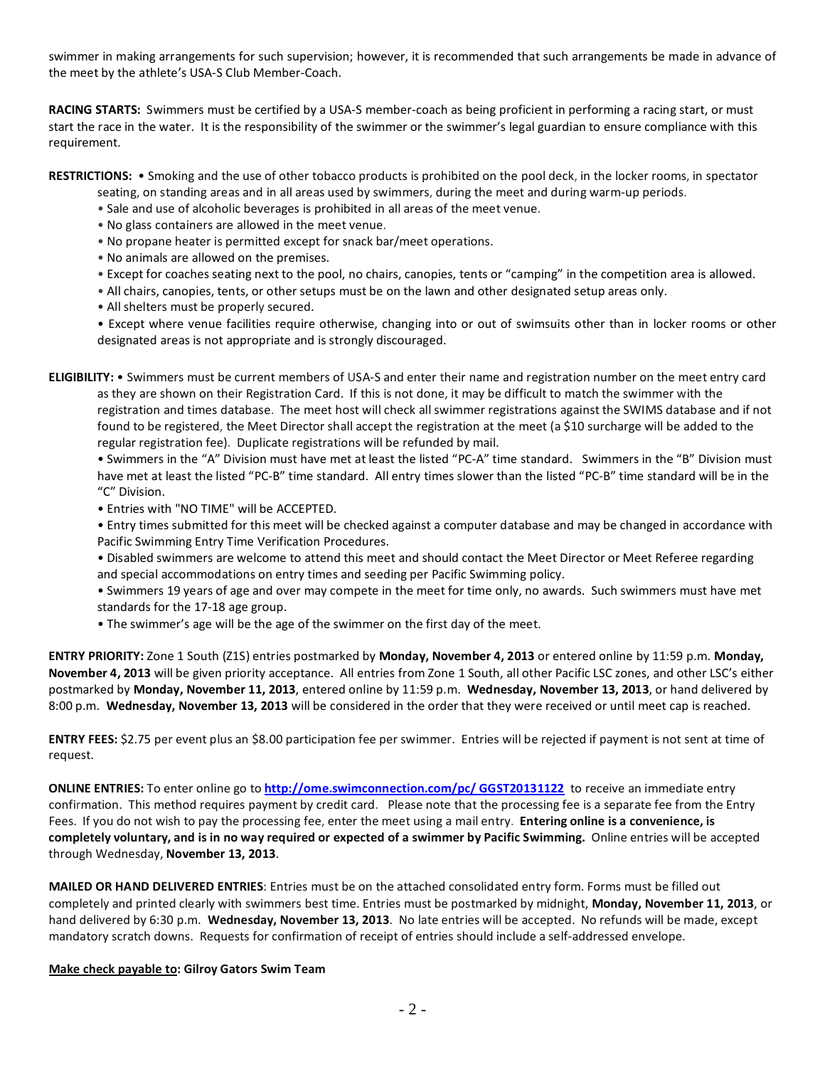swimmer in making arrangements for such supervision; however, it is recommended that such arrangements be made in advance of the meet by the athlete's USA-S Club Member-Coach.

**RACING STARTS:** Swimmers must be certified by a USA-S member-coach as being proficient in performing a racing start, or must start the race in the water. It is the responsibility of the swimmer or the swimmer's legal guardian to ensure compliance with this requirement.

**RESTRICTIONS:** • Smoking and the use of other tobacco products is prohibited on the pool deck, in the locker rooms, in spectator

- seating, on standing areas and in all areas used by swimmers, during the meet and during warm-up periods.
- Sale and use of alcoholic beverages is prohibited in all areas of the meet venue.
- No glass containers are allowed in the meet venue.
- No propane heater is permitted except for snack bar/meet operations.
- No animals are allowed on the premises.
- Except for coaches seating next to the pool, no chairs, canopies, tents or "camping" in the competition area is allowed.
- All chairs, canopies, tents, or other setups must be on the lawn and other designated setup areas only.
- All shelters must be properly secured.

• Except where venue facilities require otherwise, changing into or out of swimsuits other than in locker rooms or other designated areas is not appropriate and is strongly discouraged.

**ELIGIBILITY:** • Swimmers must be current members of USA-S and enter their name and registration number on the meet entry card as they are shown on their Registration Card. If this is not done, it may be difficult to match the swimmer with the registration and times database. The meet host will check all swimmer registrations against the SWIMS database and if not found to be registered, the Meet Director shall accept the registration at the meet (a \$10 surcharge will be added to the regular registration fee). Duplicate registrations will be refunded by mail.

• Swimmers in the "A" Division must have met at least the listed "PC-A" time standard. Swimmers in the "B" Division must have met at least the listed "PC-B" time standard. All entry times slower than the listed "PC-B" time standard will be in the "C" Division.

• Entries with "NO TIME" will be ACCEPTED.

• Entry times submitted for this meet will be checked against a computer database and may be changed in accordance with Pacific Swimming Entry Time Verification Procedures.

• Disabled swimmers are welcome to attend this meet and should contact the Meet Director or Meet Referee regarding and special accommodations on entry times and seeding per Pacific Swimming policy.

• Swimmers 19 years of age and over may compete in the meet for time only, no awards. Such swimmers must have met standards for the 17-18 age group.

• The swimmer's age will be the age of the swimmer on the first day of the meet.

**ENTRY PRIORITY:** Zone 1 South (Z1S) entries postmarked by **Monday, November 4, 2013** or entered online by 11:59 p.m. **Monday, November 4, 2013** will be given priority acceptance. All entries from Zone 1 South, all other Pacific LSC zones, and other LSC's either postmarked by **Monday, November 11, 2013**, entered online by 11:59 p.m. **Wednesday, November 13, 2013**, or hand delivered by 8:00 p.m. **Wednesday, November 13, 2013** will be considered in the order that they were received or until meet cap is reached.

**ENTRY FEES:** \$2.75 per event plus an \$8.00 participation fee per swimmer. Entries will be rejected if payment is not sent at time of request.

**ONLINE ENTRIES:** To enter online go to **[http://ome.swimconnection.com/pc/ GGST20131122](http://ome.swimconnection.com/pc/%20GGST20131122)** to receive an immediate entry confirmation. This method requires payment by credit card. Please note that the processing fee is a separate fee from the Entry Fees. If you do not wish to pay the processing fee, enter the meet using a mail entry. **Entering online is a convenience, is completely voluntary, and is in no way required or expected of a swimmer by Pacific Swimming.** Online entries will be accepted through Wednesday, **November 13, 2013**.

**MAILED OR HAND DELIVERED ENTRIES**: Entries must be on the attached consolidated entry form. Forms must be filled out completely and printed clearly with swimmers best time. Entries must be postmarked by midnight, **Monday, November 11, 2013**, or hand delivered by 6:30 p.m. **Wednesday, November 13, 2013**. No late entries will be accepted. No refunds will be made, except mandatory scratch downs. Requests for confirmation of receipt of entries should include a self-addressed envelope.

#### **Make check payable to: Gilroy Gators Swim Team**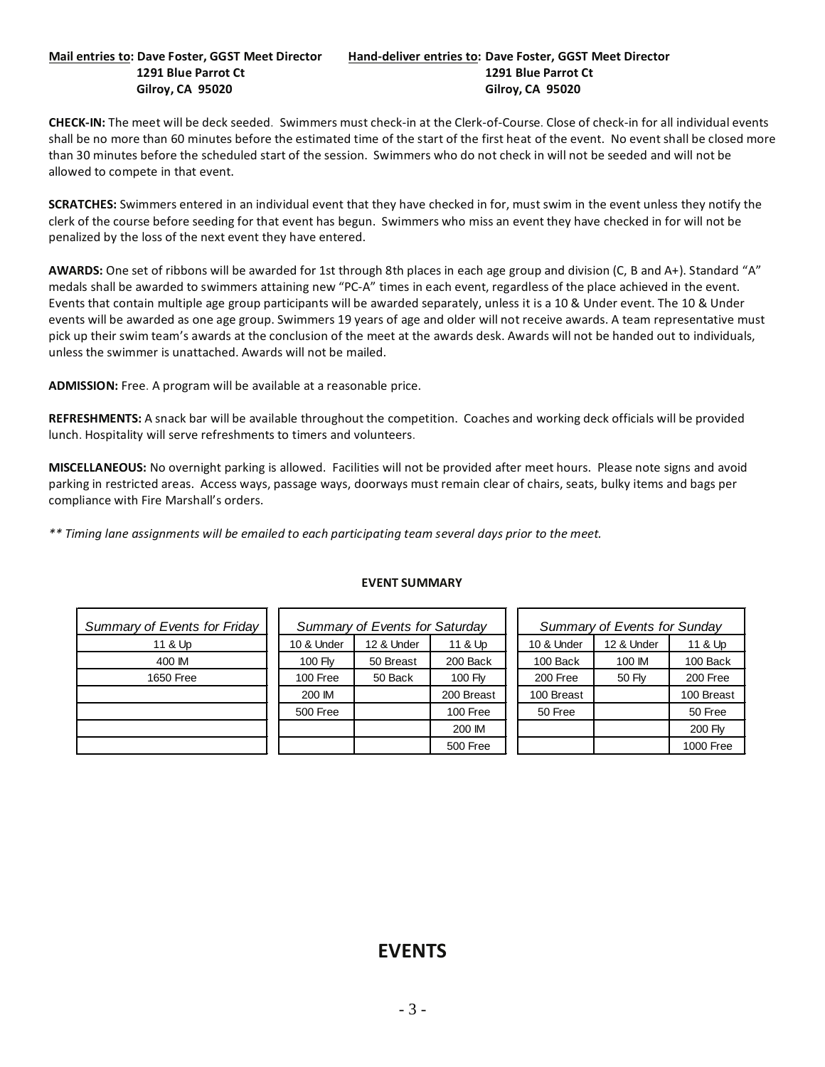#### **Mail entries to: Dave Foster, GGST Meet Director Hand-deliver entries to: Dave Foster, GGST Meet Director 1291 Blue Parrot Ct 1291 Blue Parrot Ct Gilroy, CA 95020 Gilroy, CA 95020**

**CHECK-IN:** The meet will be deck seeded. Swimmers must check-in at the Clerk-of-Course. Close of check-in for all individual events shall be no more than 60 minutes before the estimated time of the start of the first heat of the event. No event shall be closed more than 30 minutes before the scheduled start of the session. Swimmers who do not check in will not be seeded and will not be allowed to compete in that event.

**SCRATCHES:** Swimmers entered in an individual event that they have checked in for, must swim in the event unless they notify the clerk of the course before seeding for that event has begun. Swimmers who miss an event they have checked in for will not be penalized by the loss of the next event they have entered.

**AWARDS:** One set of ribbons will be awarded for 1st through 8th places in each age group and division (C, B and A+). Standard "A" medals shall be awarded to swimmers attaining new "PC-A" times in each event, regardless of the place achieved in the event. Events that contain multiple age group participants will be awarded separately, unless it is a 10 & Under event. The 10 & Under events will be awarded as one age group. Swimmers 19 years of age and older will not receive awards. A team representative must pick up their swim team's awards at the conclusion of the meet at the awards desk. Awards will not be handed out to individuals, unless the swimmer is unattached. Awards will not be mailed.

**ADMISSION:** Free. A program will be available at a reasonable price.

**REFRESHMENTS:** A snack bar will be available throughout the competition. Coaches and working deck officials will be provided lunch. Hospitality will serve refreshments to timers and volunteers.

**MISCELLANEOUS:** No overnight parking is allowed. Facilities will not be provided after meet hours. Please note signs and avoid parking in restricted areas. Access ways, passage ways, doorways must remain clear of chairs, seats, bulky items and bags per compliance with Fire Marshall's orders.

*\*\* Timing lane assignments will be emailed to each participating team several days prior to the meet.*

| Summary of Events for Friday |                | Summary of Events for Saturday |            | Summary of Events for Sunday |            |                |  |  |
|------------------------------|----------------|--------------------------------|------------|------------------------------|------------|----------------|--|--|
| 11 & Up                      | 10 & Under     | 12 & Under                     | 11 & Up    | 10 & Under                   | 12 & Under | 11 & Up        |  |  |
| 400 IM                       | <b>100 Flv</b> | 50 Breast                      | 200 Back   | 100 Back                     | 100 IM     | 100 Back       |  |  |
| 1650 Free                    | 100 Free       | 50 Back                        | 100 Fly    | 200 Free                     | 50 Fly     | 200 Free       |  |  |
|                              | 200 IM         |                                | 200 Breast | 100 Breast                   |            | 100 Breast     |  |  |
|                              | 500 Free       |                                | 100 Free   | 50 Free                      |            | 50 Free        |  |  |
|                              |                |                                | 200 IM     |                              |            | <b>200 Fly</b> |  |  |
|                              |                |                                | 500 Free   |                              |            | 1000 Free      |  |  |

#### **EVENT SUMMARY**

# **EVENTS**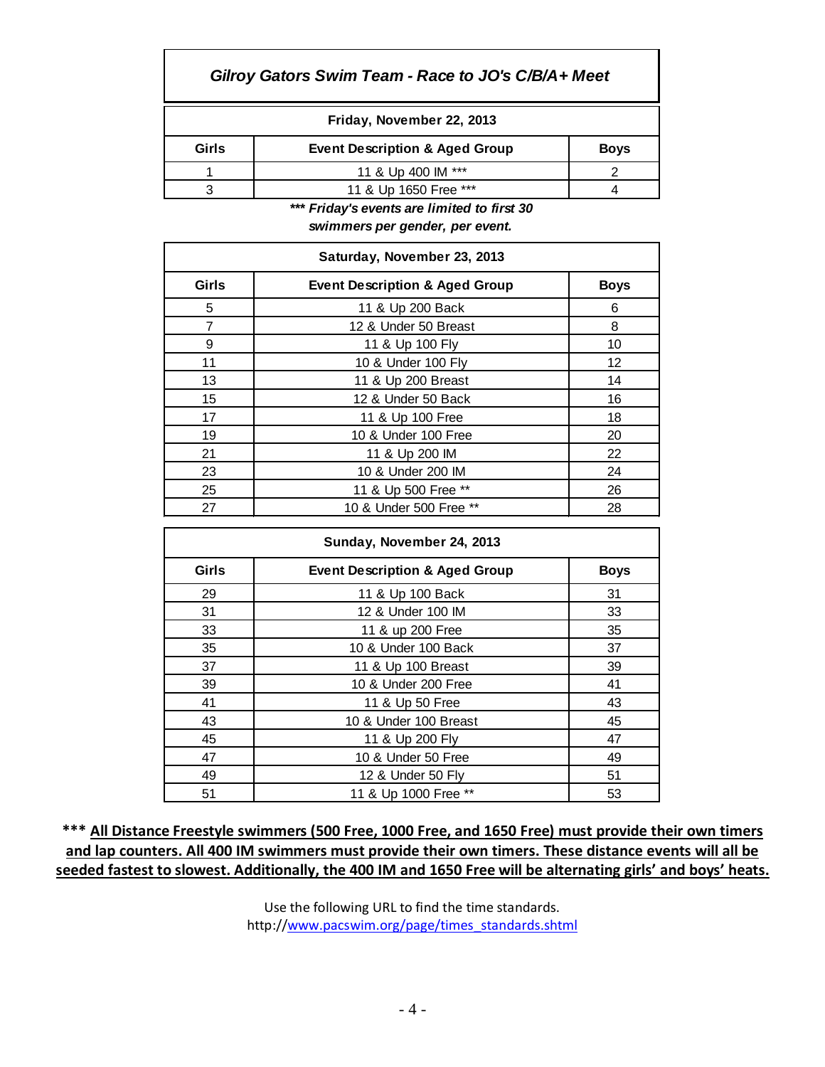## *Gilroy Gators Swim Team - Race to JO's C/B/A+ Meet*

| Girls | <b>Event Description &amp; Aged Group</b> |  |  |  |  |  |  |  |  |
|-------|-------------------------------------------|--|--|--|--|--|--|--|--|
|       | 11 & Up 400 IM ***                        |  |  |  |  |  |  |  |  |
|       | 11 & Up 1650 Free ***                     |  |  |  |  |  |  |  |  |

*\*\*\* Friday's events are limited to first 30*

*swimmers per gender, per event.*

| Saturday, November 23, 2013 |                                           |             |  |  |  |  |  |  |  |
|-----------------------------|-------------------------------------------|-------------|--|--|--|--|--|--|--|
| Girls                       | <b>Event Description &amp; Aged Group</b> | <b>Boys</b> |  |  |  |  |  |  |  |
| 5                           | 11 & Up 200 Back                          | 6           |  |  |  |  |  |  |  |
| 7                           | 12 & Under 50 Breast                      | 8           |  |  |  |  |  |  |  |
| 9                           | 11 & Up 100 Fly                           | 10          |  |  |  |  |  |  |  |
| 11                          | 10 & Under 100 Fly                        | 12          |  |  |  |  |  |  |  |
| 13                          | 11 & Up 200 Breast                        | 14          |  |  |  |  |  |  |  |
| 15                          | 12 & Under 50 Back                        | 16          |  |  |  |  |  |  |  |
| 17                          | 11 & Up 100 Free                          | 18          |  |  |  |  |  |  |  |
| 19                          | 10 & Under 100 Free                       | 20          |  |  |  |  |  |  |  |
| 21                          | 11 & Up 200 IM                            | 22          |  |  |  |  |  |  |  |
| 23                          | 10 & Under 200 IM                         | 24          |  |  |  |  |  |  |  |
| 25                          | 11 & Up 500 Free **                       | 26          |  |  |  |  |  |  |  |
| 27                          | 10 & Under 500 Free **                    | 28          |  |  |  |  |  |  |  |

| Sunday, November 24, 2013 |                                           |    |  |  |  |  |  |  |
|---------------------------|-------------------------------------------|----|--|--|--|--|--|--|
| Girls                     | <b>Event Description &amp; Aged Group</b> |    |  |  |  |  |  |  |
| 29                        | 11 & Up 100 Back                          | 31 |  |  |  |  |  |  |
| 31                        | 12 & Under 100 IM                         | 33 |  |  |  |  |  |  |
| 33                        | 11 & up 200 Free                          | 35 |  |  |  |  |  |  |
| 35                        | 10 & Under 100 Back                       | 37 |  |  |  |  |  |  |
| 37                        | 11 & Up 100 Breast                        | 39 |  |  |  |  |  |  |
| 39                        | 10 & Under 200 Free                       | 41 |  |  |  |  |  |  |
| 41                        | 11 & Up 50 Free                           | 43 |  |  |  |  |  |  |
| 43                        | 10 & Under 100 Breast                     | 45 |  |  |  |  |  |  |
| 45                        | 11 & Up 200 Fly                           | 47 |  |  |  |  |  |  |
| 47                        | 10 & Under 50 Free                        | 49 |  |  |  |  |  |  |
| 49                        | 12 & Under 50 Fly                         | 51 |  |  |  |  |  |  |
| 51                        | 11 & Up 1000 Free **                      | 53 |  |  |  |  |  |  |

**\*\*\* All Distance Freestyle swimmers (500 Free, 1000 Free, and 1650 Free) must provide their own timers and lap counters. All 400 IM swimmers must provide their own timers. These distance events will all be seeded fastest to slowest. Additionally, the 400 IM and 1650 Free will be alternating girls' and boys' heats.**

> Use the following URL to find the time standards. http:/[/www.pacswim.org/page/times\\_standards.shtml](http://www.pacswim.org/page/times_standards.shtml)